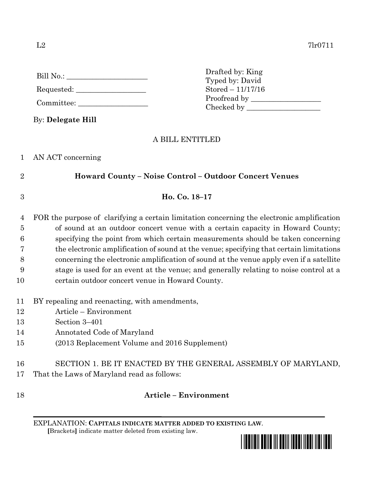| Bill No.:  |  |
|------------|--|
| Requested: |  |

Committee:

By: **Delegate Hill**

Drafted by: King Typed by: David Stored – 11/17/16 Proofread by Checked by \_\_\_\_\_\_\_\_\_\_\_\_\_\_\_\_\_\_\_\_

# A BILL ENTITLED

| AN ACT concerning |
|-------------------|
|                   |
|                   |
|                   |
|                   |
|                   |

# 2 **Howard County – Noise Control – Outdoor Concert Venues**

3 **Ho. Co. 18–17**

 FOR the purpose of clarifying a certain limitation concerning the electronic amplification of sound at an outdoor concert venue with a certain capacity in Howard County; specifying the point from which certain measurements should be taken concerning the electronic amplification of sound at the venue; specifying that certain limitations concerning the electronic amplification of sound at the venue apply even if a satellite stage is used for an event at the venue; and generally relating to noise control at a certain outdoor concert venue in Howard County.

- 11 BY repealing and reenacting, with amendments,
- 12 Article Environment
- 13 Section 3–401
- 14 Annotated Code of Maryland
- 15 (2013 Replacement Volume and 2016 Supplement)
- 16 SECTION 1. BE IT ENACTED BY THE GENERAL ASSEMBLY OF MARYLAND,
- 17 That the Laws of Maryland read as follows:

## 18 **Article – Environment**

EXPLANATION: **CAPITALS INDICATE MATTER ADDED TO EXISTING LAW**.  **[**Brackets**]** indicate matter deleted from existing law.

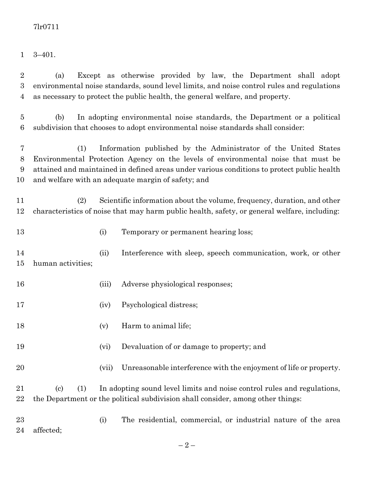3–401.

 (a) Except as otherwise provided by law, the Department shall adopt environmental noise standards, sound level limits, and noise control rules and regulations as necessary to protect the public health, the general welfare, and property.

 (b) In adopting environmental noise standards, the Department or a political subdivision that chooses to adopt environmental noise standards shall consider:

 (1) Information published by the Administrator of the United States Environmental Protection Agency on the levels of environmental noise that must be attained and maintained in defined areas under various conditions to protect public health and welfare with an adequate margin of safety; and

 (2) Scientific information about the volume, frequency, duration, and other characteristics of noise that may harm public health, safety, or general welfare, including:

(i) Temporary or permanent hearing loss;

 (ii) Interference with sleep, speech communication, work, or other human activities;

16 (iii) Adverse physiological responses;

- (iv) Psychological distress;
- 18 (v) Harm to animal life;
- (vi) Devaluation of or damage to property; and
- (vii) Unreasonable interference with the enjoyment of life or property.
- (c) (1) In adopting sound level limits and noise control rules and regulations, the Department or the political subdivision shall consider, among other things:

 (i) The residential, commercial, or industrial nature of the area affected;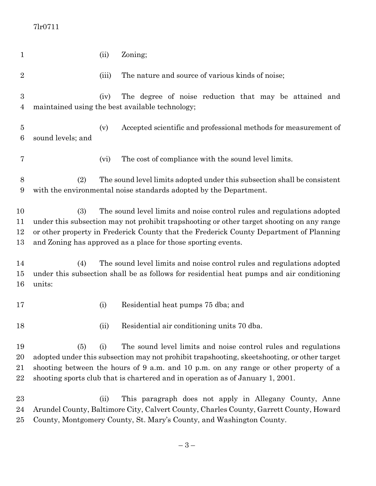### 7lr0711

| $\mathbf{1}$         |                                                                                                                                                                                                                                                                                                                                       | (ii)  | Zoning;                                                                                                                                                                                                                                                                                                                                 |  |  |
|----------------------|---------------------------------------------------------------------------------------------------------------------------------------------------------------------------------------------------------------------------------------------------------------------------------------------------------------------------------------|-------|-----------------------------------------------------------------------------------------------------------------------------------------------------------------------------------------------------------------------------------------------------------------------------------------------------------------------------------------|--|--|
| $\overline{2}$       |                                                                                                                                                                                                                                                                                                                                       | (iii) | The nature and source of various kinds of noise;                                                                                                                                                                                                                                                                                        |  |  |
| 3<br>4               |                                                                                                                                                                                                                                                                                                                                       | (iv)  | The degree of noise reduction that may be attained and<br>maintained using the best available technology;                                                                                                                                                                                                                               |  |  |
| $\overline{5}$<br>6  | sound levels; and                                                                                                                                                                                                                                                                                                                     | (v)   | Accepted scientific and professional methods for measurement of                                                                                                                                                                                                                                                                         |  |  |
| 7                    |                                                                                                                                                                                                                                                                                                                                       | (vi)  | The cost of compliance with the sound level limits.                                                                                                                                                                                                                                                                                     |  |  |
| 8<br>9               | The sound level limits adopted under this subsection shall be consistent<br>(2)<br>with the environmental noise standards adopted by the Department.                                                                                                                                                                                  |       |                                                                                                                                                                                                                                                                                                                                         |  |  |
| 10<br>11<br>12<br>13 | (3)<br>The sound level limits and noise control rules and regulations adopted<br>under this subsection may not prohibit trapshooting or other target shooting on any range<br>or other property in Frederick County that the Frederick County Department of Planning<br>and Zoning has approved as a place for those sporting events. |       |                                                                                                                                                                                                                                                                                                                                         |  |  |
| 14<br>$15\,$<br>16   | (4)<br>units:                                                                                                                                                                                                                                                                                                                         |       | The sound level limits and noise control rules and regulations adopted<br>under this subsection shall be as follows for residential heat pumps and air conditioning                                                                                                                                                                     |  |  |
| 17                   |                                                                                                                                                                                                                                                                                                                                       | (i)   | Residential heat pumps 75 dba; and                                                                                                                                                                                                                                                                                                      |  |  |
| 18                   |                                                                                                                                                                                                                                                                                                                                       | (ii)  | Residential air conditioning units 70 dba.                                                                                                                                                                                                                                                                                              |  |  |
| 19<br>20<br>21<br>22 | (5)                                                                                                                                                                                                                                                                                                                                   | (i)   | The sound level limits and noise control rules and regulations<br>adopted under this subsection may not prohibit trapshooting, skeetshooting, or other target<br>shooting between the hours of 9 a.m. and 10 p.m. on any range or other property of a<br>shooting sports club that is chartered and in operation as of January 1, 2001. |  |  |
| 23<br>24<br>$25\,$   |                                                                                                                                                                                                                                                                                                                                       | (ii)  | This paragraph does not apply in Allegany County, Anne<br>Arundel County, Baltimore City, Calvert County, Charles County, Garrett County, Howard<br>County, Montgomery County, St. Mary's County, and Washington County.                                                                                                                |  |  |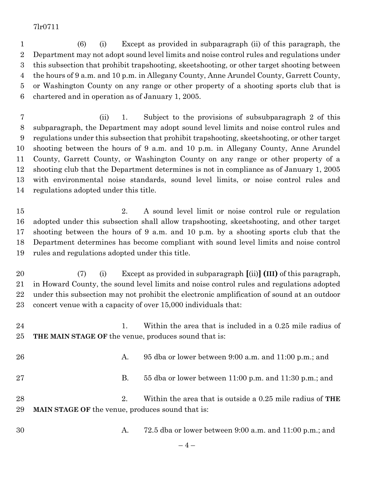#### 7lr0711

 (6) (i) Except as provided in subparagraph (ii) of this paragraph, the Department may not adopt sound level limits and noise control rules and regulations under this subsection that prohibit trapshooting, skeetshooting, or other target shooting between the hours of 9 a.m. and 10 p.m. in Allegany County, Anne Arundel County, Garrett County, or Washington County on any range or other property of a shooting sports club that is chartered and in operation as of January 1, 2005.

 (ii) 1. Subject to the provisions of subsubparagraph 2 of this subparagraph, the Department may adopt sound level limits and noise control rules and regulations under this subsection that prohibit trapshooting, skeetshooting, or other target shooting between the hours of 9 a.m. and 10 p.m. in Allegany County, Anne Arundel County, Garrett County, or Washington County on any range or other property of a shooting club that the Department determines is not in compliance as of January 1, 2005 with environmental noise standards, sound level limits, or noise control rules and regulations adopted under this title.

 2. A sound level limit or noise control rule or regulation adopted under this subsection shall allow trapshooting, skeetshooting, and other target shooting between the hours of 9 a.m. and 10 p.m. by a shooting sports club that the Department determines has become compliant with sound level limits and noise control rules and regulations adopted under this title.

 (7) (i) Except as provided in subparagraph **[**(ii)**] (III)** of this paragraph, in Howard County, the sound level limits and noise control rules and regulations adopted under this subsection may not prohibit the electronic amplification of sound at an outdoor concert venue with a capacity of over 15,000 individuals that:

24 1. Within the area that is included in a 0.25 mile radius of **THE MAIN STAGE OF** the venue, produces sound that is:

| 26       | A.                                                                 | 95 dba or lower between 9:00 a.m. and 11:00 p.m.; and      |
|----------|--------------------------------------------------------------------|------------------------------------------------------------|
| 27       | В.                                                                 | 55 dba or lower between $11:00$ p.m. and $11:30$ p.m.; and |
| 28<br>29 | $2_{-}$<br><b>MAIN STAGE OF the venue, produces sound that is:</b> | Within the area that is outside a 0.25 mile radius of THE  |

A. 72.5 dba or lower between 9:00 a.m. and 11:00 p.m.; and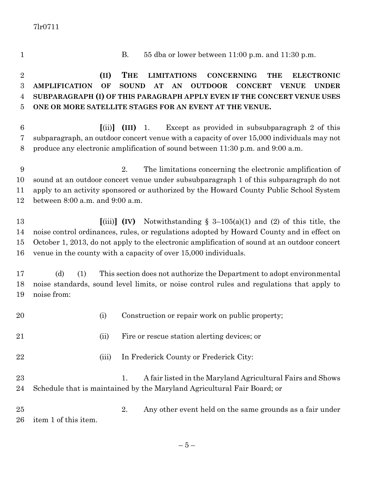7lr0711

 B. 55 dba or lower between 11:00 p.m. and 11:30 p.m. **(II) THE LIMITATIONS CONCERNING THE ELECTRONIC AMPLIFICATION OF SOUND AT AN OUTDOOR CONCERT VENUE UNDER SUBPARAGRAPH (I) OF THIS PARAGRAPH APPLY EVEN IF THE CONCERT VENUE USES ONE OR MORE SATELLITE STAGES FOR AN EVENT AT THE VENUE. [**(ii)**] (III)** 1. Except as provided in subsubparagraph 2 of this subparagraph, an outdoor concert venue with a capacity of over 15,000 individuals may not produce any electronic amplification of sound between 11:30 p.m. and 9:00 a.m. 2. The limitations concerning the electronic amplification of sound at an outdoor concert venue under subsubparagraph 1 of this subparagraph do not apply to an activity sponsored or authorized by the Howard County Public School System between 8:00 a.m. and 9:00 a.m. **[**(iii)**] (IV)** Notwithstanding § 3–105(a)(1) and (2) of this title, the noise control ordinances, rules, or regulations adopted by Howard County and in effect on October 1, 2013, do not apply to the electronic amplification of sound at an outdoor concert venue in the county with a capacity of over 15,000 individuals. (d) (1) This section does not authorize the Department to adopt environmental noise standards, sound level limits, or noise control rules and regulations that apply to noise from: 20 (i) Construction or repair work on public property; (ii) Fire or rescue station alerting devices; or 22 (iii) In Frederick County or Frederick City: 23 1. A fair listed in the Maryland Agricultural Fairs and Shows Schedule that is maintained by the Maryland Agricultural Fair Board; or 2. Any other event held on the same grounds as a fair under item 1 of this item.